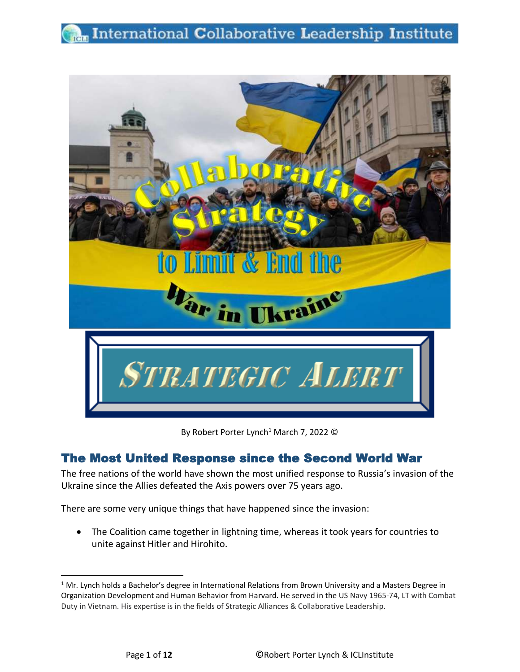# **Rem** International Collaborative Leadership Institute



By Robert Porter Lynch<sup>1</sup> March 7, 2022 ©

## The Most United Response since the Second World War

The free nations of the world have shown the most unified response to Russia's invasion of the Ukraine since the Allies defeated the Axis powers over 75 years ago.

There are some very unique things that have happened since the invasion:

• The Coalition came together in lightning time, whereas it took years for countries to unite against Hitler and Hirohito.

<sup>&</sup>lt;sup>1</sup> Mr. Lynch holds a Bachelor's degree in International Relations from Brown University and a Masters Degree in Organization Development and Human Behavior from Harvard. He served in the US Navy 1965-74, LT with Combat Duty in Vietnam. His expertise is in the fields of Strategic Alliances & Collaborative Leadership.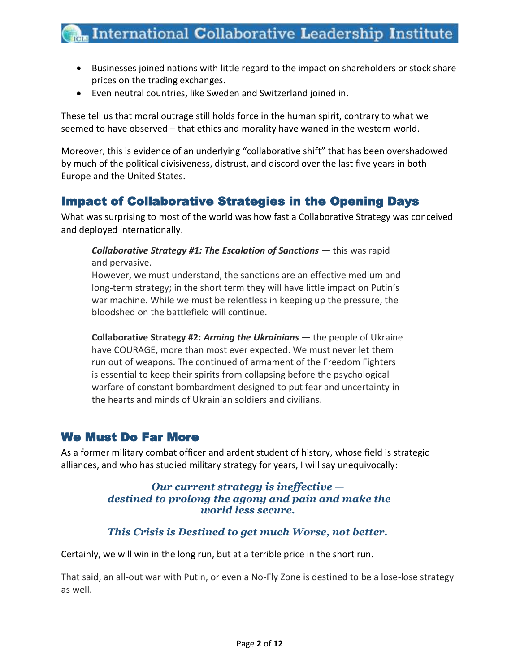- Businesses joined nations with little regard to the impact on shareholders or stock share prices on the trading exchanges.
- Even neutral countries, like Sweden and Switzerland joined in.

These tell us that moral outrage still holds force in the human spirit, contrary to what we seemed to have observed – that ethics and morality have waned in the western world.

Moreover, this is evidence of an underlying "collaborative shift" that has been overshadowed by much of the political divisiveness, distrust, and discord over the last five years in both Europe and the United States.

## Impact of Collaborative Strategies in the Opening Days

What was surprising to most of the world was how fast a Collaborative Strategy was conceived and deployed internationally.

*Collaborative Strategy #1: The Escalation of Sanctions —* this was rapid and pervasive.

However, we must understand, the sanctions are an effective medium and long-term strategy; in the short term they will have little impact on Putin's war machine. While we must be relentless in keeping up the pressure, the bloodshed on the battlefield will continue.

**Collaborative Strategy #2:** *Arming the Ukrainians* **—** the people of Ukraine have COURAGE, more than most ever expected. We must never let them run out of weapons. The continued of armament of the Freedom Fighters is essential to keep their spirits from collapsing before the psychological warfare of constant bombardment designed to put fear and uncertainty in the hearts and minds of Ukrainian soldiers and civilians.

### We Must Do Far More

As a former military combat officer and ardent student of history, whose field is strategic alliances, and who has studied military strategy for years, I will say unequivocally:

#### *Our current strategy is ineffective destined to prolong the agony and pain and make the world less secure.*

### *This Crisis is Destined to get much Worse, not better.*

Certainly, we will win in the long run, but at a terrible price in the short run.

That said, an all-out war with Putin, or even a No-Fly Zone is destined to be a lose-lose strategy as well.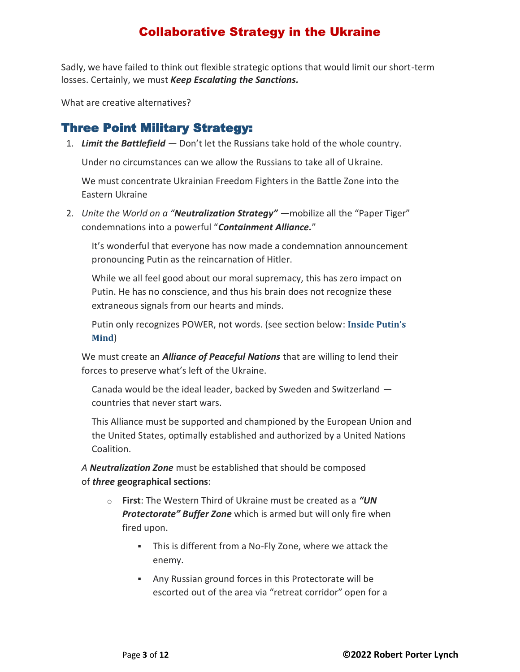Sadly, we have failed to think out flexible strategic options that would limit our short-term losses. Certainly, we must *Keep Escalating the Sanctions.*

What are creative alternatives?

## Three Point Military Strategy:

1. *Limit the Battlefield —* Don't let the Russians take hold of the whole country.

Under no circumstances can we allow the Russians to take all of Ukraine.

We must concentrate Ukrainian Freedom Fighters in the Battle Zone into the Eastern Ukraine

2. *Unite the World on a "Neutralization Strategy" —*mobilize all the "Paper Tiger" condemnations into a powerful "*Containment Alliance.*"

It's wonderful that everyone has now made a condemnation announcement pronouncing Putin as the reincarnation of Hitler.

While we all feel good about our moral supremacy, this has zero impact on Putin. He has no conscience, and thus his brain does not recognize these extraneous signals from our hearts and minds.

Putin only recognizes POWER, not words. (see section below: **[Inside Putin](#page-4-0)'s [Mind](#page-4-0)**)

We must create an *Alliance of Peaceful Nations* that are willing to lend their forces to preserve what's left of the Ukraine.

Canada would be the ideal leader, backed by Sweden and Switzerland countries that never start wars.

This Alliance must be supported and championed by the European Union and the United States, optimally established and authorized by a United Nations Coalition.

*A Neutralization Zone* must be established that should be composed of *three* **geographical sections**:

- o **First**: The Western Third of Ukraine must be created as a *"UN Protectorate" Buffer Zone* which is armed but will only fire when fired upon.
	- This is different from a No-Fly Zone, where we attack the enemy.
	- Any Russian ground forces in this Protectorate will be escorted out of the area via "retreat corridor" open for a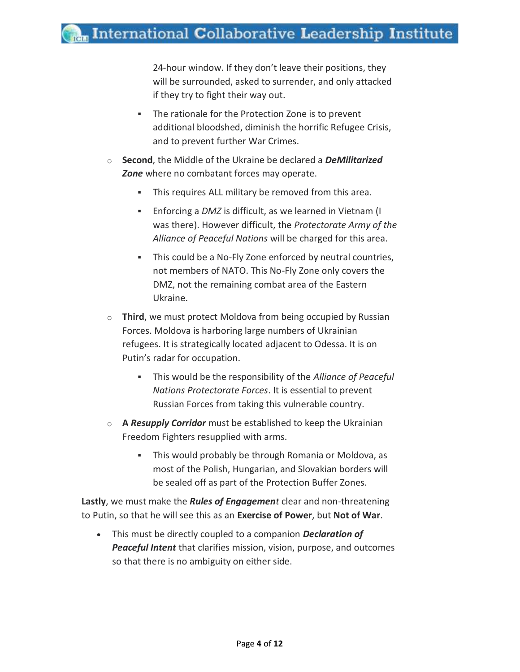24-hour window. If they don't leave their positions, they will be surrounded, asked to surrender, and only attacked if they try to fight their way out.

- The rationale for the Protection Zone is to prevent additional bloodshed, diminish the horrific Refugee Crisis, and to prevent further War Crimes.
- o **Second**, the Middle of the Ukraine be declared a *DeMilitarized Zone* where no combatant forces may operate.
	- This requires ALL military be removed from this area.
	- Enforcing a *DMZ* is difficult, as we learned in Vietnam (I) was there). However difficult, the *Protectorate Army of the Alliance of Peaceful Nations* will be charged for this area.
	- This could be a No-Fly Zone enforced by neutral countries, not members of NATO. This No-Fly Zone only covers the DMZ, not the remaining combat area of the Eastern Ukraine.
- o **Third**, we must protect Moldova from being occupied by Russian Forces. Moldova is harboring large numbers of Ukrainian refugees. It is strategically located adjacent to Odessa. It is on Putin's radar for occupation.
	- This would be the responsibility of the *Alliance of Peaceful Nations Protectorate Forces*. It is essential to prevent Russian Forces from taking this vulnerable country.
- o **A** *Resupply Corridor* must be established to keep the Ukrainian Freedom Fighters resupplied with arms.
	- This would probably be through Romania or Moldova, as most of the Polish, Hungarian, and Slovakian borders will be sealed off as part of the Protection Buffer Zones.

**Lastly**, we must make the *Rules of Engagement* clear and non-threatening to Putin, so that he will see this as an **Exercise of Power**, but **Not of War**.

• This must be directly coupled to a companion *Declaration of Peaceful Intent* that clarifies mission, vision, purpose, and outcomes so that there is no ambiguity on either side.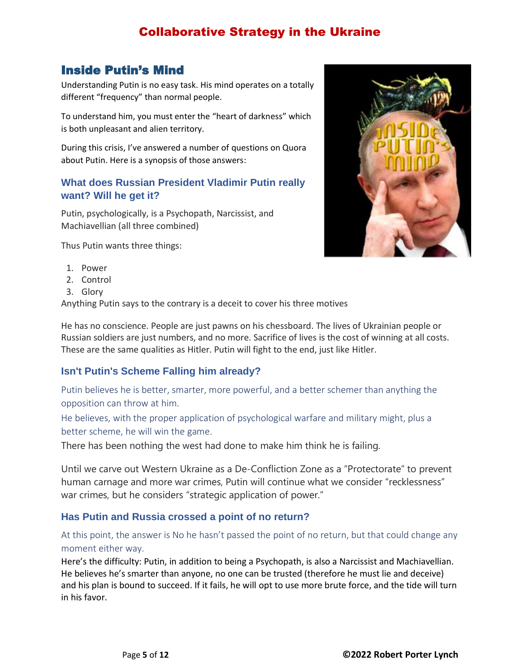## <span id="page-4-0"></span>Inside Putin's Mind

Understanding Putin is no easy task. His mind operates on a totally different "frequency" than normal people.

To understand him, you must enter the "heart of darkness" which is both unpleasant and alien territory.

During this crisis, I've answered a number of questions on Quora about Putin. Here is a synopsis of those answers:

#### **[What does Russian President Vladimir Putin really](https://www.quora.com/What-does-Russian-President-Vladimir-Putin-really-want-Will-he-get-it)  [want? Will he get it?](https://www.quora.com/What-does-Russian-President-Vladimir-Putin-really-want-Will-he-get-it)**

Putin, psychologically, is a Psychopath, Narcissist, and Machiavellian (all three combined)

Thus Putin wants three things:

- 1. Power
- 2. Control
- 3. Glory

Anything Putin says to the contrary is a deceit to cover his three motives

He has no conscience. People are just pawns on his chessboard. The lives of Ukrainian people or Russian soldiers are just numbers, and no more. Sacrifice of lives is the cost of winning at all costs. These are the same qualities as Hitler. Putin will fight to the end, just like Hitler.

### **[Isn't Putin's Scheme Falling him already?](https://www.quora.com/Isnt-Putins-Scheme-Falling-him-already)**

Putin believes he is better, smarter, more powerful, and a better schemer than anything the opposition can throw at him.

He believes, with the proper application of psychological warfare and military might, plus a better scheme, he will win the game.

There has been nothing the west had done to make him think he is failing.

Until we carve out Western Ukraine as a De-Confliction Zone as a "Protectorate" to prevent human carnage and more war crimes, Putin will continue what we consider "recklessness" war crimes, but he considers "strategic application of power."

#### **Has Putin and Russia crossed a point of no return?**

At this point, the answer is No he hasn't passed the point of no return, but that could change any moment either way.

Here's the difficulty: Putin, in addition to being a Psychopath, is also a Narcissist and Machiavellian. He believes he's smarter than anyone, no one can be trusted (therefore he must lie and deceive) and his plan is bound to succeed. If it fails, he will opt to use more brute force, and the tide will turn in his favor.

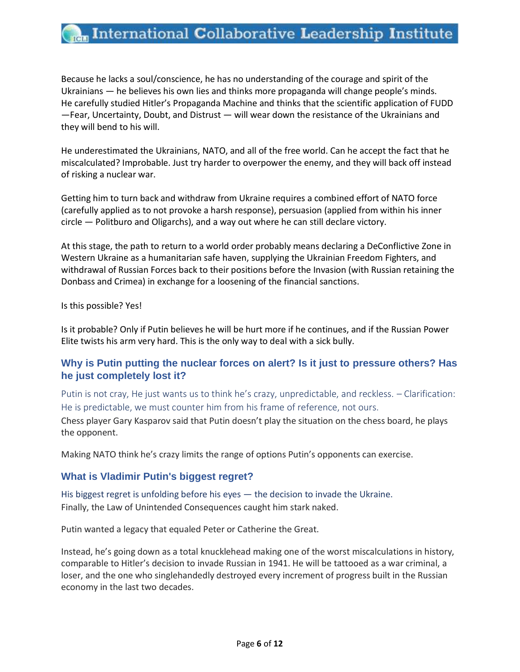# **Rem** International Collaborative Leadership Institute

Because he lacks a soul/conscience, he has no understanding of the courage and spirit of the Ukrainians — he believes his own lies and thinks more propaganda will change people's minds. He carefully studied Hitler's Propaganda Machine and thinks that the scientific application of FUDD —Fear, Uncertainty, Doubt, and Distrust — will wear down the resistance of the Ukrainians and they will bend to his will.

He underestimated the Ukrainians, NATO, and all of the free world. Can he accept the fact that he miscalculated? Improbable. Just try harder to overpower the enemy, and they will back off instead of risking a nuclear war.

Getting him to turn back and withdraw from Ukraine requires a combined effort of NATO force (carefully applied as to not provoke a harsh response), persuasion (applied from within his inner circle — Politburo and Oligarchs), and a way out where he can still declare victory.

At this stage, the path to return to a world order probably means declaring a DeConflictive Zone in Western Ukraine as a humanitarian safe haven, supplying the Ukrainian Freedom Fighters, and withdrawal of Russian Forces back to their positions before the Invasion (with Russian retaining the Donbass and Crimea) in exchange for a loosening of the financial sanctions.

Is this possible? Yes!

Is it probable? Only if Putin believes he will be hurt more if he continues, and if the Russian Power Elite twists his arm very hard. This is the only way to deal with a sick bully.

#### **[Why is Putin putting the nuclear forces on alert? Is it just to pressure others? Has](https://www.quora.com/Why-is-Putin-putting-the-nuclear-forces-on-alert-Is-it-just-to-pressure-others-Has-he-just-completely-lost-it)  [he just completely lost it?](https://www.quora.com/Why-is-Putin-putting-the-nuclear-forces-on-alert-Is-it-just-to-pressure-others-Has-he-just-completely-lost-it)**

Putin is not cray, He just wants us to think he's crazy, unpredictable, and reckless. – Clarification: He is predictable, we must counter him from his frame of reference, not ours. Chess player Gary Kasparov said that Putin doesn't play the situation on the chess board, he plays the opponent.

Making NATO think he's crazy limits the range of options Putin's opponents can exercise.

#### **[What is Vladimir Putin's biggest regret?](https://www.quora.com/What-is-Vladimir-Putins-biggest-regret)**

His biggest regret is unfolding before his eyes — the decision to invade the Ukraine. Finally, the Law of Unintended Consequences caught him stark naked.

Putin wanted a legacy that equaled Peter or Catherine the Great.

Instead, he's going down as a total knucklehead making one of the worst miscalculations in history, comparable to Hitler's decision to invade Russian in 1941. He will be tattooed as a war criminal, a loser, and the one who singlehandedly destroyed every increment of progress built in the Russian economy in the last two decades.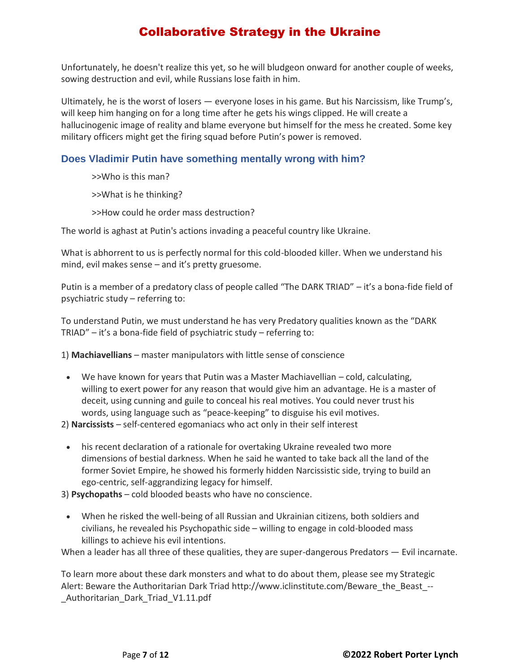Unfortunately, he doesn't realize this yet, so he will bludgeon onward for another couple of weeks, sowing destruction and evil, while Russians lose faith in him.

Ultimately, he is the worst of losers — everyone loses in his game. But his Narcissism, like Trump's, will keep him hanging on for a long time after he gets his wings clipped. He will create a hallucinogenic image of reality and blame everyone but himself for the mess he created. Some key military officers might get the firing squad before Putin's power is removed[.](https://www.quora.com/Does-Vladimir-Putin-have-something-mentally-wrong-with-him)

#### **[Does Vladimir Putin have something mentally wrong with him?](https://www.quora.com/Does-Vladimir-Putin-have-something-mentally-wrong-with-him)**

>>Who is this man?

>>What is he thinking?

>>How could he order mass destruction?

The world is aghast at Putin's actions invading a peaceful country like Ukraine.

What is abhorrent to us is perfectly normal for this cold-blooded killer. When we understand his mind, evil makes sense – and it's pretty gruesome.

Putin is a member of a predatory class of people called "The DARK TRIAD" – it's a bona-fide field of psychiatric study – referring to:

To understand Putin, we must understand he has very Predatory qualities known as the "DARK TRIAD" – it's a bona-fide field of psychiatric study – referring to:

1) **Machiavellians** – master manipulators with little sense of conscience

• We have known for years that Putin was a Master Machiavellian – cold, calculating, willing to exert power for any reason that would give him an advantage. He is a master of deceit, using cunning and guile to conceal his real motives. You could never trust his words, using language such as "peace-keeping" to disguise his evil motives.

2) **Narcissists** – self-centered egomaniacs who act only in their self interest

• his recent declaration of a rationale for overtaking Ukraine revealed two more dimensions of bestial darkness. When he said he wanted to take back all the land of the former Soviet Empire, he showed his formerly hidden Narcissistic side, trying to build an ego-centric, self-aggrandizing legacy for himself.

3) **Psychopaths** – cold blooded beasts who have no conscience.

• When he risked the well-being of all Russian and Ukrainian citizens, both soldiers and civilians, he revealed his Psychopathic side – willing to engage in cold-blooded mass killings to achieve his evil intentions.

When a leader has all three of these qualities, they are super-dangerous Predators — Evil incarnate.

To learn more about these dark monsters and what to do about them, please see my Strategic Alert: Beware the Authoritarian Dark Triad http://www.iclinstitute.com/Beware\_the\_Beast\_--Authoritarian Dark Triad V1.11.pdf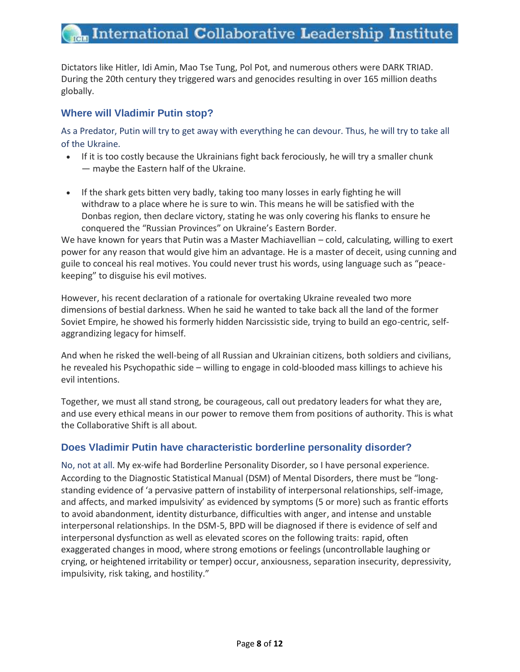Dictators like Hitler, Idi Amin, Mao Tse Tung, Pol Pot, and numerous others were DARK TRIAD. During the 20th century they triggered wars and genocides resulting in over 165 million deaths globally[.](https://www.quora.com/Where-will-vladimir-Putin-stop)

#### **[Where will Vladimir Putin stop?](https://www.quora.com/Where-will-vladimir-Putin-stop)**

As a Predator, Putin will try to get away with everything he can devour. Thus, he will try to take all of the Ukraine.

- If it is too costly because the Ukrainians fight back ferociously, he will try a smaller chunk — maybe the Eastern half of the Ukraine.
- If the shark gets bitten very badly, taking too many losses in early fighting he will withdraw to a place where he is sure to win. This means he will be satisfied with the Donbas region, then declare victory, stating he was only covering his flanks to ensure he conquered the "Russian Provinces" on Ukraine's Eastern Border.

We have known for years that Putin was a Master Machiavellian – cold, calculating, willing to exert power for any reason that would give him an advantage. He is a master of deceit, using cunning and guile to conceal his real motives. You could never trust his words, using language such as "peacekeeping" to disguise his evil motives.

However, his recent declaration of a rationale for overtaking Ukraine revealed two more dimensions of bestial darkness. When he said he wanted to take back all the land of the former Soviet Empire, he showed his formerly hidden Narcissistic side, trying to build an ego-centric, selfaggrandizing legacy for himself.

And when he risked the well-being of all Russian and Ukrainian citizens, both soldiers and civilians, he revealed his Psychopathic side – willing to engage in cold-blooded mass killings to achieve his evil intentions.

Together, we must all stand strong, be courageous, call out predatory leaders for what they are, and use every ethical means in our power to remove them from positions of authority. This is what the Collaborative Shift is all about.

#### **Does Vladimir Putin [have characteristic borderline personality disorder?](https://www.quora.com/Does-Vladimir-Putin-have-characteristic-borderline-personality-disorder)**

No, not at all. My ex-wife had Borderline Personality Disorder, so I have personal experience. According to the Diagnostic Statistical Manual (DSM) of Mental Disorders, there must be "longstanding evidence of 'a pervasive pattern of instability of interpersonal relationships, self-image, and affects, and marked impulsivity' as evidenced by symptoms (5 or more) such as frantic efforts to avoid abandonment, identity disturbance, difficulties with anger, and intense and unstable interpersonal relationships. In the DSM-5, BPD will be diagnosed if there is evidence of self and interpersonal dysfunction as well as elevated scores on the following traits: rapid, often exaggerated changes in mood, where strong emotions or feelings (uncontrollable laughing or crying, or heightened irritability or temper) occur, anxiousness, separation insecurity, depressivity, impulsivity, risk taking, and hostility."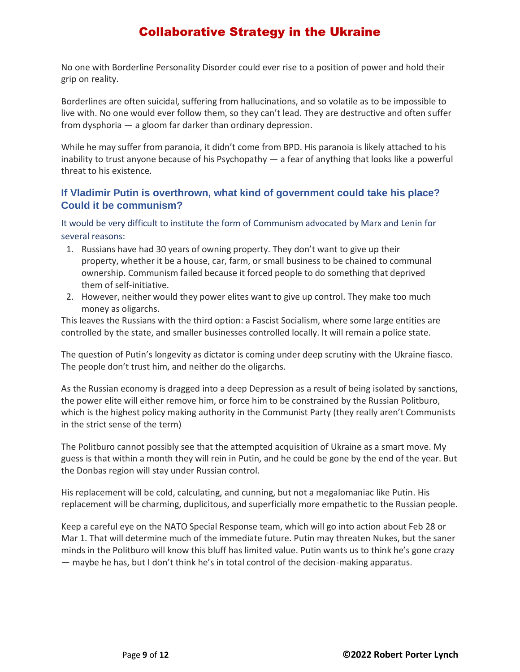No one with Borderline Personality Disorder could ever rise to a position of power and hold their grip on reality.

Borderlines are often suicidal, suffering from hallucinations, and so volatile as to be impossible to live with. No one would ever follow them, so they can't lead. They are destructive and often suffer from dysphoria — a gloom far darker than ordinary depression.

While he may suffer from paranoia, it didn't come from BPD. His paranoia is likely attached to his inability to trust anyone because of his Psychopathy — [a fear of anything that looks like](https://www.quora.com/If-Vladimir-Putin-is-overthrown-what-kind-of-government-could-take-his-place-Could-it-be-communism) a powerful threat to his existence.

#### **[If Vladimir Putin is overthrown, what kind of government could take his place?](https://www.quora.com/If-Vladimir-Putin-is-overthrown-what-kind-of-government-could-take-his-place-Could-it-be-communism)  [Could it be communism?](https://www.quora.com/If-Vladimir-Putin-is-overthrown-what-kind-of-government-could-take-his-place-Could-it-be-communism)**

It would be very difficult to institute the form of Communism advocated by Marx and Lenin for several reasons:

- 1. Russians have had 30 years of owning property. They don't want to give up their property, whether it be a house, car, farm, or small business to be chained to communal ownership. Communism failed because it forced people to do something that deprived them of self-initiative.
- 2. However, neither would they power elites want to give up control. They make too much money as oligarchs.

This leaves the Russians with the third option: a Fascist Socialism, where some large entities are controlled by the state, and smaller businesses controlled locally. It will remain a police state.

The question of Putin's longevity as dictator is coming under deep scrutiny with the Ukraine fiasco. The people don't trust him, and neither do the oligarchs.

As the Russian economy is dragged into a deep Depression as a result of being isolated by sanctions, the power elite will either remove him, or force him to be constrained by the Russian Politburo, which is the highest policy making authority in the Communist Party (they really aren't Communists in the strict sense of the term)

The Politburo cannot possibly see that the attempted acquisition of Ukraine as a smart move. My guess is that within a month they will rein in Putin, and he could be gone by the end of the year. But the Donbas region will stay under Russian control.

His replacement will be cold, calculating, and cunning, but not a megalomaniac like Putin. His replacement will be charming, duplicitous, and superficially more empathetic to the Russian people.

Keep a careful eye on the NATO Special Response team, which will go into action about Feb 28 or Mar 1. That will determine much of the immediate future. Putin may threaten Nukes, but the saner minds in the Politburo will know this bluff has limited value. Putin wants us to think he's gone crazy — [maybe he has, but I don't think he's in total control of the decision](https://www.quora.com/Why-does-Putin-dislike-NATO)-making apparatus.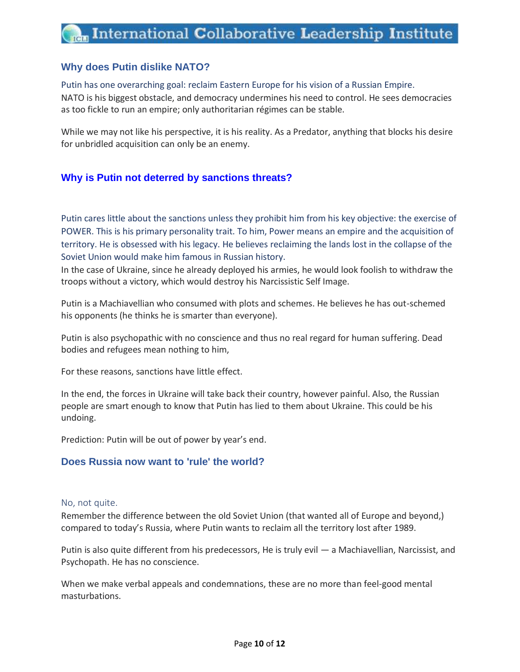#### **[Why does Putin dislike NATO?](https://www.quora.com/Why-does-Putin-dislike-NATO)**

#### Putin has one overarching goal: reclaim Eastern Europe for his vision of a Russian Empire.

NATO is his biggest obstacle, and democracy undermines his need to control. He sees democracies as too fickle to run an empire; only authoritarian régimes can be stable.

While we may not like his perspective, it is his reality. As a Predator, anything that blocks his desire for unbridled acquisition can only be an enemy.

#### **[Why is Putin not deterred by sanctions threats?](https://www.quora.com/Why-is-Putin-not-deterred-by-sanctions-threats)**

Putin cares little about the sanctions unless they prohibit him from his key objective: the exercise of POWER. This is his primary personality trait. To him, Power means an empire and the acquisition of territory. He is obsessed with his legacy. He believes reclaiming the lands lost in the collapse of the Soviet Union would make him famous in Russian history.

In the case of Ukraine, since he already deployed his armies, he would look foolish to withdraw the troops without a victory, which would destroy his Narcissistic Self Image.

Putin is a Machiavellian who consumed with plots and schemes. He believes he has out-schemed his opponents (he thinks he is smarter than everyone).

Putin is also psychopathic with no conscience and thus no real regard for human suffering. Dead bodies and refugees mean nothing to him,

For these reasons, sanctions have little effect.

In the end, the forces in Ukraine will take back their country, however painful. Also, the Russian people are smart enough to know that Putin has lied to them about Ukraine. This could be his undoing.

Prediction: Putin will be out of power by year's end.

#### **[Does Russia now want to 'rule' the world?](https://www.quora.com/Does-Russia-now-want-to-rule-the-world)**

#### No, not quite.

Remember the difference between the old Soviet Union (that wanted all of Europe and beyond,) compared to today's Russia, where Putin wants to reclaim all the territory lost after 1989.

Putin is also quite different from his predecessors, He is truly evil — a Machiavellian, Narcissist, and Psychopath. He has no conscience.

When we make verbal appeals and condemnations, these are no more than feel-good mental masturbations.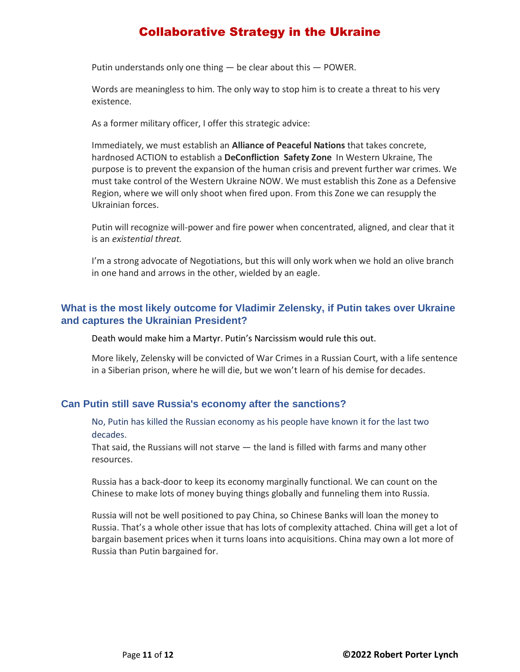Putin understands only one thing  $-$  be clear about this  $-$  POWER.

Words are meaningless to him. The only way to stop him is to create a threat to his very existence.

As a former military officer, I offer this strategic advice:

Immediately, we must establish an **Alliance of Peaceful Nations** that takes concrete, hardnosed ACTION to establish a **DeConfliction Safety Zone** In Western Ukraine, The purpose is to prevent the expansion of the human crisis and prevent further war crimes. We must take control of the Western Ukraine NOW. We must establish this Zone as a Defensive Region, where we will only shoot when fired upon. From this Zone we can resupply the Ukrainian forces.

Putin will recognize will-power and fire power when concentrated, aligned, and clear that it is an *existential threat.*

I'm a strong advocate of Negotiations, but this will only work when we hold an olive branch in one hand and arrows in the other, wielded by an eagle.

#### **[What is the most likely outcome for Vladimir Zelensky, if Putin takes over Ukraine](https://www.quora.com/What-is-the-most-likely-outcome-for-Vladimir-Zelensky-if-Putin-takes-over-Ukraine-and-captures-the-Ukrainian-President)  [and captures the Ukrainian President?](https://www.quora.com/What-is-the-most-likely-outcome-for-Vladimir-Zelensky-if-Putin-takes-over-Ukraine-and-captures-the-Ukrainian-President)**

Death would make him a Martyr. Putin's Narcissism would rule this out.

More likely, Zelensky will be convicted of War Crimes in a Russian Court, with a life sentence in a Siberian prison, where he will die, but we won't learn of his demise for decades.

#### **Can Putin still save Russia's economy after the sanctions?**

No, Putin has killed the Russian economy as his people have known it for the last two decades.

That said, the Russians will not starve — the land is filled with farms and many other resources.

Russia has a back-door to keep its economy marginally functional. We can count on the Chinese to make lots of money buying things globally and funneling them into Russia.

Russia will not be well positioned to pay China, so Chinese Banks will loan the money to Russia. That's a whole other issue that has lots of complexity attached. China will get a lot of bargain basement prices when it turns loans into acquisitions. China may own a lot more of Russia than Putin bargained for.